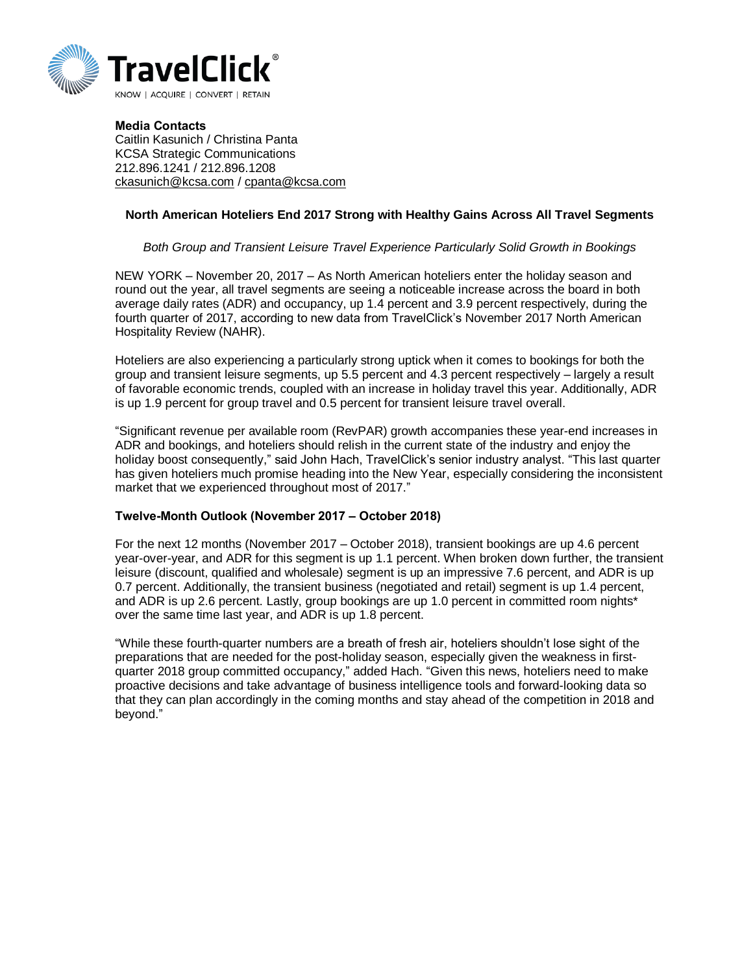

**Media Contacts** Caitlin Kasunich / Christina Panta KCSA Strategic Communications 212.896.1241 / 212.896.1208 [ckasunich@kcsa.com](mailto:ckasunich@kcsa.com) / [cpanta@kcsa.com](mailto:cpanta@kcsa.com)

## **North American Hoteliers End 2017 Strong with Healthy Gains Across All Travel Segments**

## *Both Group and Transient Leisure Travel Experience Particularly Solid Growth in Bookings*

NEW YORK – November 20, 2017 – As North American hoteliers enter the holiday season and round out the year, all travel segments are seeing a noticeable increase across the board in both average daily rates (ADR) and occupancy, up 1.4 percent and 3.9 percent respectively, during the fourth quarter of 2017, according to new data from TravelClick's November 2017 North American Hospitality Review (NAHR).

Hoteliers are also experiencing a particularly strong uptick when it comes to bookings for both the group and transient leisure segments, up 5.5 percent and 4.3 percent respectively – largely a result of favorable economic trends, coupled with an increase in holiday travel this year. Additionally, ADR is up 1.9 percent for group travel and 0.5 percent for transient leisure travel overall.

"Significant revenue per available room (RevPAR) growth accompanies these year-end increases in ADR and bookings, and hoteliers should relish in the current state of the industry and enjoy the holiday boost consequently," said John Hach, TravelClick's senior industry analyst. "This last quarter has given hoteliers much promise heading into the New Year, especially considering the inconsistent market that we experienced throughout most of 2017."

## **Twelve-Month Outlook (November 2017 – October 2018)**

For the next 12 months (November 2017 – October 2018), transient bookings are up 4.6 percent year-over-year, and ADR for this segment is up 1.1 percent. When broken down further, the transient leisure (discount, qualified and wholesale) segment is up an impressive 7.6 percent, and ADR is up 0.7 percent. Additionally, the transient business (negotiated and retail) segment is up 1.4 percent, and ADR is up 2.6 percent. Lastly, group bookings are up 1.0 percent in committed room nights\* over the same time last year, and ADR is up 1.8 percent.

"While these fourth-quarter numbers are a breath of fresh air, hoteliers shouldn't lose sight of the preparations that are needed for the post-holiday season, especially given the weakness in firstquarter 2018 group committed occupancy," added Hach. "Given this news, hoteliers need to make proactive decisions and take advantage of business intelligence tools and forward-looking data so that they can plan accordingly in the coming months and stay ahead of the competition in 2018 and beyond."